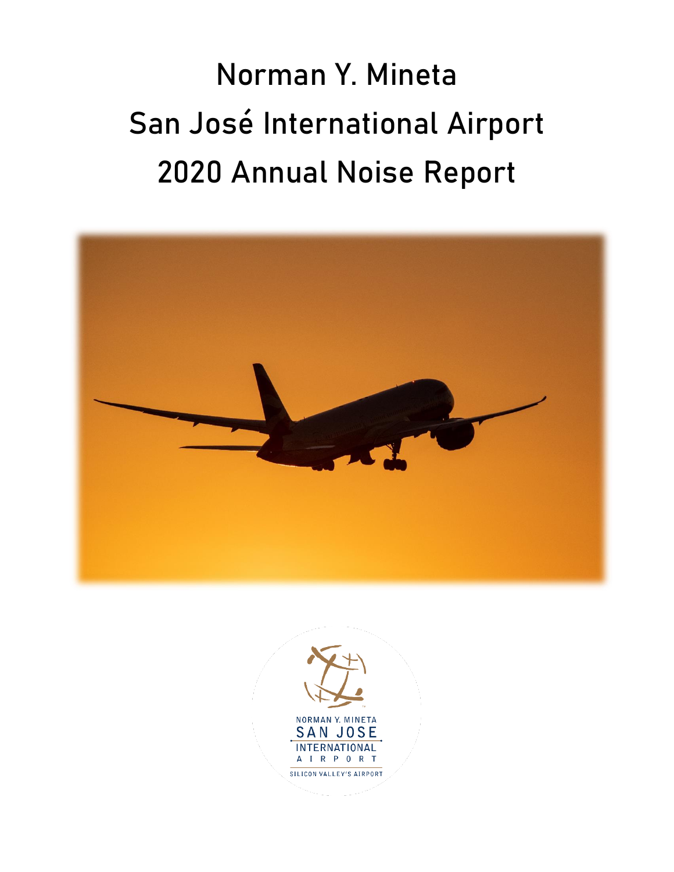Norman Y. Mineta San José International Airport 2020 Annual Noise Report



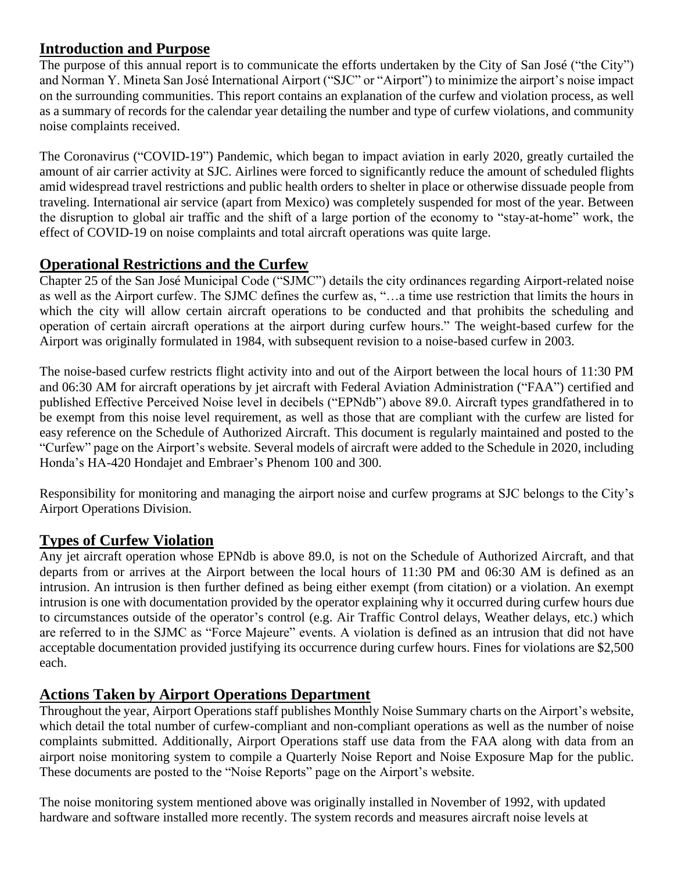## **Introduction and Purpose**

The purpose of this annual report is to communicate the efforts undertaken by the City of San José ("the City") and Norman Y. Mineta San José International Airport ("SJC" or "Airport") to minimize the airport's noise impact on the surrounding communities. This report contains an explanation of the curfew and violation process, as well as a summary of records for the calendar year detailing the number and type of curfew violations, and community noise complaints received.

The Coronavirus ("COVID-19") Pandemic, which began to impact aviation in early 2020, greatly curtailed the amount of air carrier activity at SJC. Airlines were forced to significantly reduce the amount of scheduled flights amid widespread travel restrictions and public health orders to shelter in place or otherwise dissuade people from traveling. International air service (apart from Mexico) was completely suspended for most of the year. Between the disruption to global air traffic and the shift of a large portion of the economy to "stay-at-home" work, the effect of COVID-19 on noise complaints and total aircraft operations was quite large.

#### **Operational Restrictions and the Curfew**

Chapter 25 of the San José Municipal Code ("SJMC") details the city ordinances regarding Airport-related noise as well as the Airport curfew. The SJMC defines the curfew as, "…a time use restriction that limits the hours in which the city will allow certain aircraft operations to be conducted and that prohibits the scheduling and operation of certain aircraft operations at the airport during curfew hours." The weight-based curfew for the Airport was originally formulated in 1984, with subsequent revision to a noise-based curfew in 2003.

The noise-based curfew restricts flight activity into and out of the Airport between the local hours of 11:30 PM and 06:30 AM for aircraft operations by jet aircraft with Federal Aviation Administration ("FAA") certified and published Effective Perceived Noise level in decibels ("EPNdb") above 89.0. Aircraft types grandfathered in to be exempt from this noise level requirement, as well as those that are compliant with the curfew are listed for easy reference on the Schedule of Authorized Aircraft. This document is regularly maintained and posted to the "Curfew" page on the Airport's website. Several models of aircraft were added to the Schedule in 2020, including Honda's HA-420 Hondajet and Embraer's Phenom 100 and 300.

Responsibility for monitoring and managing the airport noise and curfew programs at SJC belongs to the City's Airport Operations Division.

# **Types of Curfew Violation**

Any jet aircraft operation whose EPNdb is above 89.0, is not on the Schedule of Authorized Aircraft, and that departs from or arrives at the Airport between the local hours of 11:30 PM and 06:30 AM is defined as an intrusion. An intrusion is then further defined as being either exempt (from citation) or a violation. An exempt intrusion is one with documentation provided by the operator explaining why it occurred during curfew hours due to circumstances outside of the operator's control (e.g. Air Traffic Control delays, Weather delays, etc.) which are referred to in the SJMC as "Force Majeure" events. A violation is defined as an intrusion that did not have acceptable documentation provided justifying its occurrence during curfew hours. Fines for violations are \$2,500 each.

#### **Actions Taken by Airport Operations Department**

Throughout the year, Airport Operations staff publishes Monthly Noise Summary charts on the Airport's website, which detail the total number of curfew-compliant and non-compliant operations as well as the number of noise complaints submitted. Additionally, Airport Operations staff use data from the FAA along with data from an airport noise monitoring system to compile a Quarterly Noise Report and Noise Exposure Map for the public. These documents are posted to the "Noise Reports" page on the Airport's website.

The noise monitoring system mentioned above was originally installed in November of 1992, with updated hardware and software installed more recently. The system records and measures aircraft noise levels at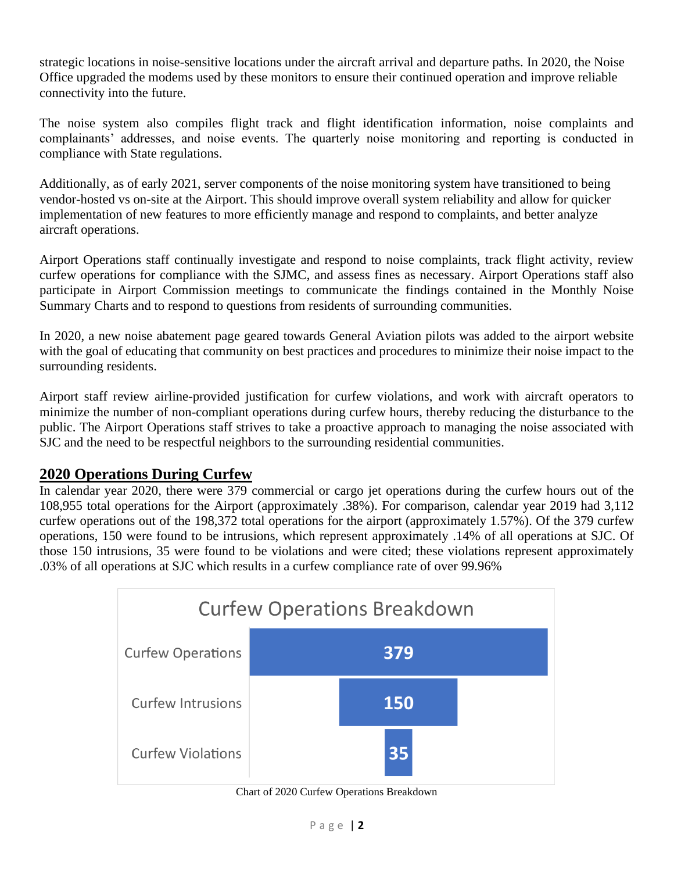strategic locations in noise-sensitive locations under the aircraft arrival and departure paths. In 2020, the Noise Office upgraded the modems used by these monitors to ensure their continued operation and improve reliable connectivity into the future.

The noise system also compiles flight track and flight identification information, noise complaints and complainants' addresses, and noise events. The quarterly noise monitoring and reporting is conducted in compliance with State regulations.

Additionally, as of early 2021, server components of the noise monitoring system have transitioned to being vendor-hosted vs on-site at the Airport. This should improve overall system reliability and allow for quicker implementation of new features to more efficiently manage and respond to complaints, and better analyze aircraft operations.

Airport Operations staff continually investigate and respond to noise complaints, track flight activity, review curfew operations for compliance with the SJMC, and assess fines as necessary. Airport Operations staff also participate in Airport Commission meetings to communicate the findings contained in the Monthly Noise Summary Charts and to respond to questions from residents of surrounding communities.

In 2020, a new noise abatement page geared towards General Aviation pilots was added to the airport website with the goal of educating that community on best practices and procedures to minimize their noise impact to the surrounding residents.

Airport staff review airline-provided justification for curfew violations, and work with aircraft operators to minimize the number of non-compliant operations during curfew hours, thereby reducing the disturbance to the public. The Airport Operations staff strives to take a proactive approach to managing the noise associated with SJC and the need to be respectful neighbors to the surrounding residential communities.

#### **2020 Operations During Curfew**

In calendar year 2020, there were 379 commercial or cargo jet operations during the curfew hours out of the 108,955 total operations for the Airport (approximately .38%). For comparison, calendar year 2019 had 3,112 curfew operations out of the 198,372 total operations for the airport (approximately 1.57%). Of the 379 curfew operations, 150 were found to be intrusions, which represent approximately .14% of all operations at SJC. Of those 150 intrusions, 35 were found to be violations and were cited; these violations represent approximately .03% of all operations at SJC which results in a curfew compliance rate of over 99.96%



Chart of 2020 Curfew Operations Breakdown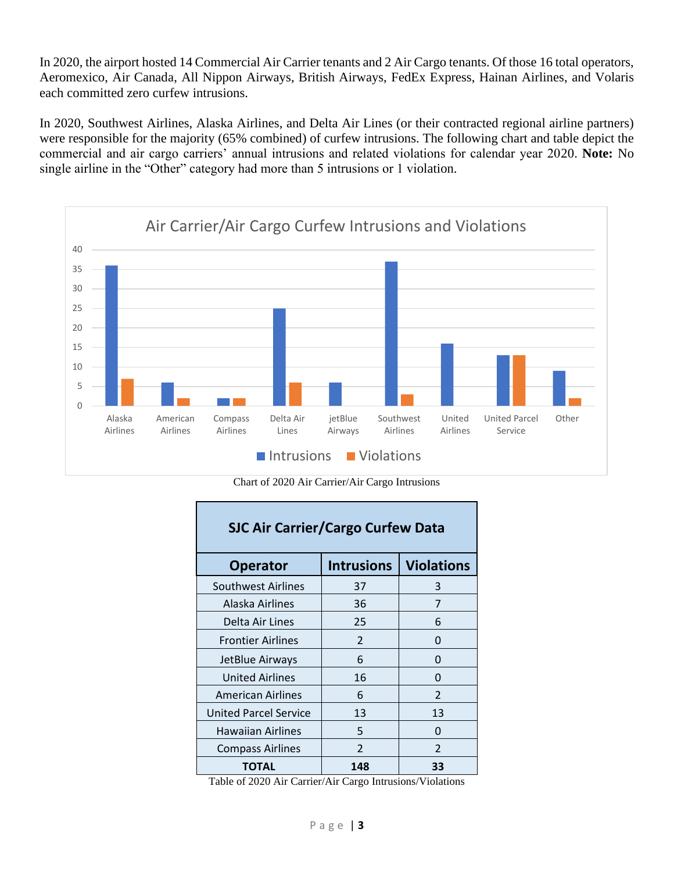In 2020, the airport hosted 14 Commercial Air Carrier tenants and 2 Air Cargo tenants. Of those 16 total operators, Aeromexico, Air Canada, All Nippon Airways, British Airways, FedEx Express, Hainan Airlines, and Volaris each committed zero curfew intrusions.

In 2020, Southwest Airlines, Alaska Airlines, and Delta Air Lines (or their contracted regional airline partners) were responsible for the majority (65% combined) of curfew intrusions. The following chart and table depict the commercial and air cargo carriers' annual intrusions and related violations for calendar year 2020. **Note:** No single airline in the "Other" category had more than 5 intrusions or 1 violation.



Chart of 2020 Air Carrier/Air Cargo Intrusions

Г

| <b>SJC Air Carrier/Cargo Curfew Data</b> |                          |                          |  |  |
|------------------------------------------|--------------------------|--------------------------|--|--|
| <b>Operator</b>                          | <b>Intrusions</b>        | <b>Violations</b>        |  |  |
| Southwest Airlines                       | 37                       | 3                        |  |  |
| Alaska Airlines                          | 36                       | 7                        |  |  |
| Delta Air Lines                          | 25                       | 6                        |  |  |
| <b>Frontier Airlines</b>                 | $\overline{\phantom{a}}$ | O                        |  |  |
| JetBlue Airways                          | 6                        | 0                        |  |  |
| <b>United Airlines</b>                   | 16                       | 0                        |  |  |
| <b>American Airlines</b>                 | 6                        | $\overline{\phantom{a}}$ |  |  |
| <b>United Parcel Service</b>             | 13                       | 13                       |  |  |
| <b>Hawaiian Airlines</b>                 | 5                        | 0                        |  |  |
| <b>Compass Airlines</b>                  | $\overline{\mathcal{L}}$ | 2                        |  |  |
| TOTAL                                    | 148                      | 33                       |  |  |

Table of 2020 Air Carrier/Air Cargo Intrusions/Violations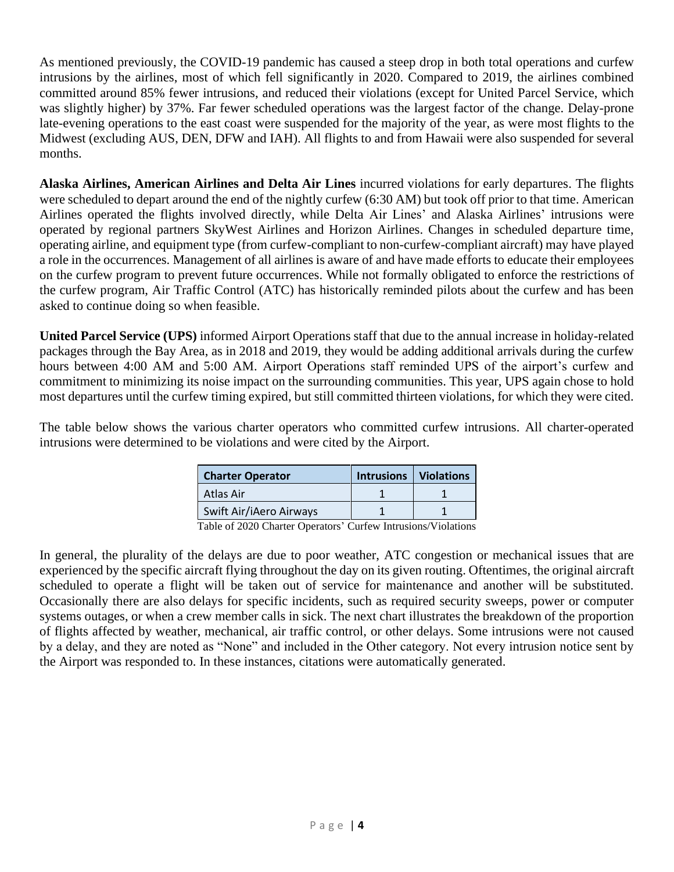As mentioned previously, the COVID-19 pandemic has caused a steep drop in both total operations and curfew intrusions by the airlines, most of which fell significantly in 2020. Compared to 2019, the airlines combined committed around 85% fewer intrusions, and reduced their violations (except for United Parcel Service, which was slightly higher) by 37%. Far fewer scheduled operations was the largest factor of the change. Delay-prone late-evening operations to the east coast were suspended for the majority of the year, as were most flights to the Midwest (excluding AUS, DEN, DFW and IAH). All flights to and from Hawaii were also suspended for several months.

**Alaska Airlines, American Airlines and Delta Air Lines** incurred violations for early departures. The flights were scheduled to depart around the end of the nightly curfew (6:30 AM) but took off prior to that time. American Airlines operated the flights involved directly, while Delta Air Lines' and Alaska Airlines' intrusions were operated by regional partners SkyWest Airlines and Horizon Airlines. Changes in scheduled departure time, operating airline, and equipment type (from curfew-compliant to non-curfew-compliant aircraft) may have played a role in the occurrences. Management of all airlines is aware of and have made efforts to educate their employees on the curfew program to prevent future occurrences. While not formally obligated to enforce the restrictions of the curfew program, Air Traffic Control (ATC) has historically reminded pilots about the curfew and has been asked to continue doing so when feasible.

**United Parcel Service (UPS)** informed Airport Operations staff that due to the annual increase in holiday-related packages through the Bay Area, as in 2018 and 2019, they would be adding additional arrivals during the curfew hours between 4:00 AM and 5:00 AM. Airport Operations staff reminded UPS of the airport's curfew and commitment to minimizing its noise impact on the surrounding communities. This year, UPS again chose to hold most departures until the curfew timing expired, but still committed thirteen violations, for which they were cited.

The table below shows the various charter operators who committed curfew intrusions. All charter-operated intrusions were determined to be violations and were cited by the Airport.

| <b>Charter Operator</b>            | Intrusions   Violations |      |
|------------------------------------|-------------------------|------|
| Atlas Air                          |                         |      |
| Swift Air/iAero Airways            |                         |      |
| $\sim$ $\sim$ $\sim$ $\sim$ $\sim$ | $\sim$ $\sim$ $\sim$    | $-1$ |

Table of 2020 Charter Operators' Curfew Intrusions/Violations

In general, the plurality of the delays are due to poor weather, ATC congestion or mechanical issues that are experienced by the specific aircraft flying throughout the day on its given routing. Oftentimes, the original aircraft scheduled to operate a flight will be taken out of service for maintenance and another will be substituted. Occasionally there are also delays for specific incidents, such as required security sweeps, power or computer systems outages, or when a crew member calls in sick. The next chart illustrates the breakdown of the proportion of flights affected by weather, mechanical, air traffic control, or other delays. Some intrusions were not caused by a delay, and they are noted as "None" and included in the Other category. Not every intrusion notice sent by the Airport was responded to. In these instances, citations were automatically generated.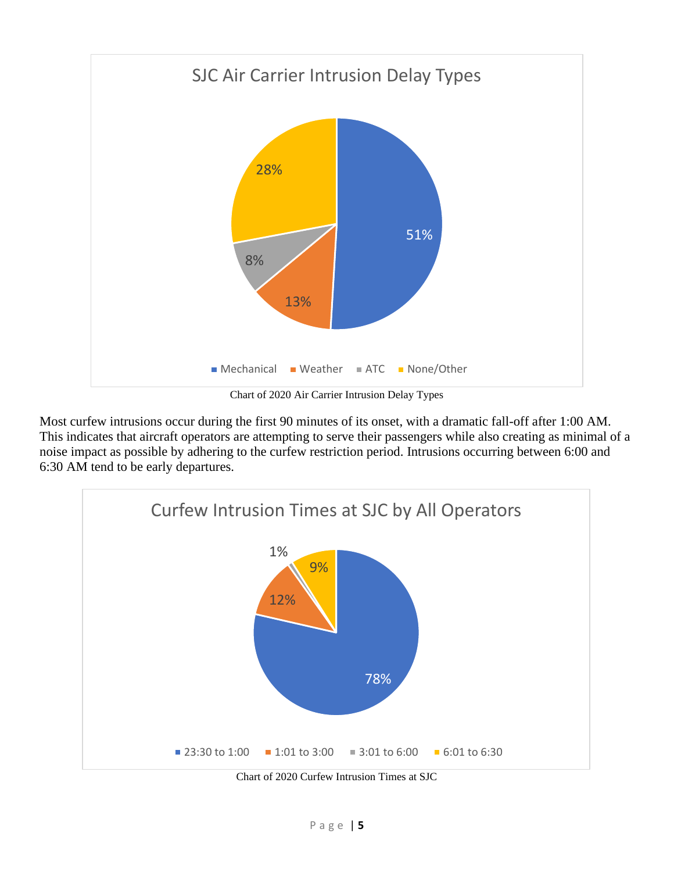

Chart of 2020 Air Carrier Intrusion Delay Types

Most curfew intrusions occur during the first 90 minutes of its onset, with a dramatic fall-off after 1:00 AM. This indicates that aircraft operators are attempting to serve their passengers while also creating as minimal of a noise impact as possible by adhering to the curfew restriction period. Intrusions occurring between 6:00 and 6:30 AM tend to be early departures.



Chart of 2020 Curfew Intrusion Times at SJC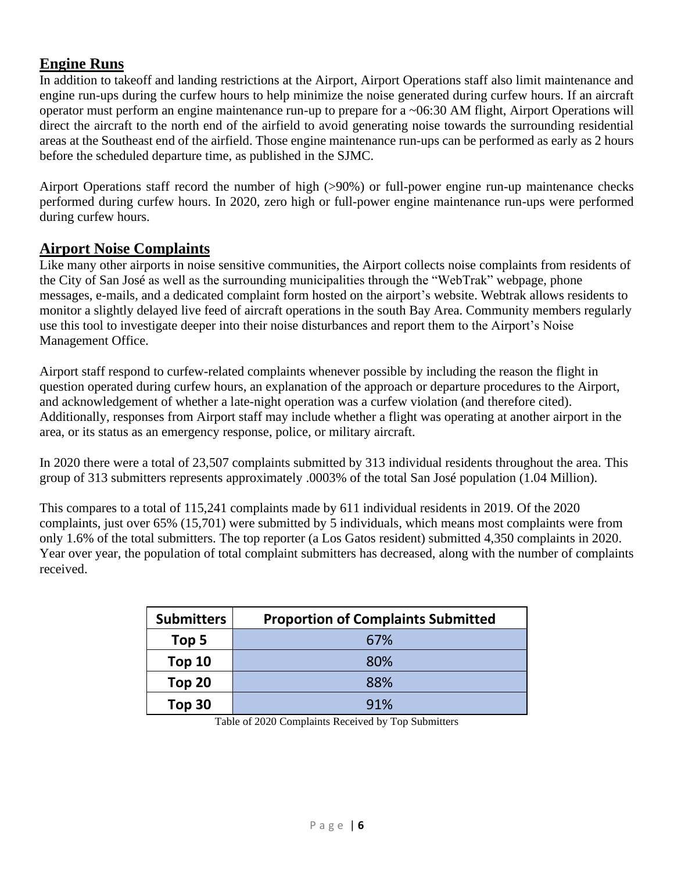### **Engine Runs**

In addition to takeoff and landing restrictions at the Airport, Airport Operations staff also limit maintenance and engine run-ups during the curfew hours to help minimize the noise generated during curfew hours. If an aircraft operator must perform an engine maintenance run-up to prepare for a ~06:30 AM flight, Airport Operations will direct the aircraft to the north end of the airfield to avoid generating noise towards the surrounding residential areas at the Southeast end of the airfield. Those engine maintenance run-ups can be performed as early as 2 hours before the scheduled departure time, as published in the SJMC.

Airport Operations staff record the number of high (>90%) or full-power engine run-up maintenance checks performed during curfew hours. In 2020, zero high or full-power engine maintenance run-ups were performed during curfew hours.

#### **Airport Noise Complaints**

Like many other airports in noise sensitive communities, the Airport collects noise complaints from residents of the City of San José as well as the surrounding municipalities through the "WebTrak" webpage, phone messages, e-mails, and a dedicated complaint form hosted on the airport's website. Webtrak allows residents to monitor a slightly delayed live feed of aircraft operations in the south Bay Area. Community members regularly use this tool to investigate deeper into their noise disturbances and report them to the Airport's Noise Management Office.

Airport staff respond to curfew-related complaints whenever possible by including the reason the flight in question operated during curfew hours, an explanation of the approach or departure procedures to the Airport, and acknowledgement of whether a late-night operation was a curfew violation (and therefore cited). Additionally, responses from Airport staff may include whether a flight was operating at another airport in the area, or its status as an emergency response, police, or military aircraft.

In 2020 there were a total of 23,507 complaints submitted by 313 individual residents throughout the area. This group of 313 submitters represents approximately .0003% of the total San José population (1.04 Million).

This compares to a total of 115,241 complaints made by 611 individual residents in 2019. Of the 2020 complaints, just over 65% (15,701) were submitted by 5 individuals, which means most complaints were from only 1.6% of the total submitters. The top reporter (a Los Gatos resident) submitted 4,350 complaints in 2020. Year over year, the population of total complaint submitters has decreased, along with the number of complaints received.

| <b>Submitters</b> | <b>Proportion of Complaints Submitted</b> |
|-------------------|-------------------------------------------|
| Top 5             | 67%                                       |
| <b>Top 10</b>     | 80%                                       |
| Top 20            | 88%                                       |
| Top 30            | 91%                                       |

Table of 2020 Complaints Received by Top Submitters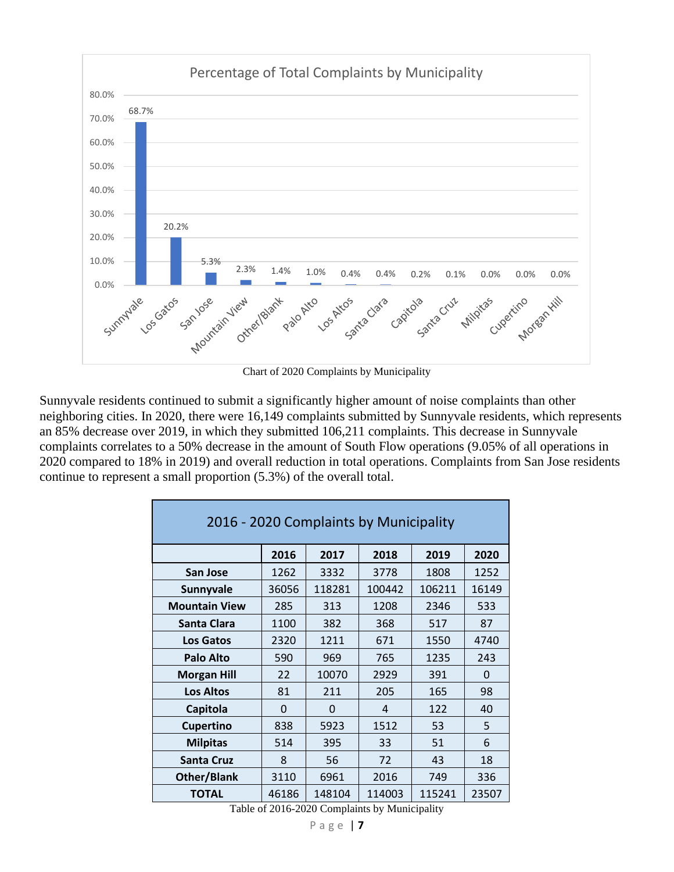

Chart of 2020 Complaints by Municipality

Sunnyvale residents continued to submit a significantly higher amount of noise complaints than other neighboring cities. In 2020, there were 16,149 complaints submitted by Sunnyvale residents, which represents an 85% decrease over 2019, in which they submitted 106,211 complaints. This decrease in Sunnyvale complaints correlates to a 50% decrease in the amount of South Flow operations (9.05% of all operations in 2020 compared to 18% in 2019) and overall reduction in total operations. Complaints from San Jose residents continue to represent a small proportion (5.3%) of the overall total.

| 2016 - 2020 Complaints by Municipality |       |        |        |        |              |
|----------------------------------------|-------|--------|--------|--------|--------------|
|                                        | 2016  | 2017   | 2018   | 2019   | 2020         |
| San Jose                               | 1262  | 3332   | 3778   | 1808   | 1252         |
| Sunnyvale                              | 36056 | 118281 | 100442 | 106211 | 16149        |
| <b>Mountain View</b>                   | 285   | 313    | 1208   | 2346   | 533          |
| Santa Clara                            | 1100  | 382    | 368    | 517    | 87           |
| <b>Los Gatos</b>                       | 2320  | 1211   | 671    | 1550   | 4740         |
| <b>Palo Alto</b>                       | 590   | 969    | 765    | 1235   | 243          |
| <b>Morgan Hill</b>                     | 22    | 10070  | 2929   | 391    | <sup>0</sup> |
| <b>Los Altos</b>                       | 81    | 211    | 205    | 165    | 98           |
| Capitola                               | 0     | 0      | 4      | 122    | 40           |
| <b>Cupertino</b>                       | 838   | 5923   | 1512   | 53     | 5            |
| <b>Milpitas</b>                        | 514   | 395    | 33     | 51     | 6            |
| <b>Santa Cruz</b>                      | 8     | 56     | 72     | 43     | 18           |
| Other/Blank                            | 3110  | 6961   | 2016   | 749    | 336          |
| <b>TOTAL</b>                           | 46186 | 148104 | 114003 | 115241 | 23507        |

Table of 2016-2020 Complaints by Municipality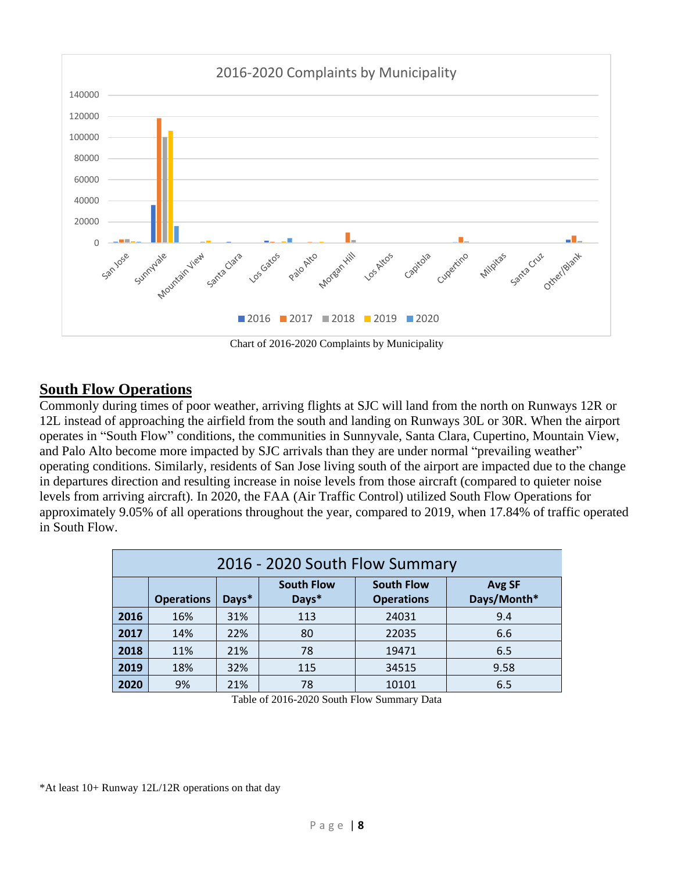

Chart of 2016-2020 Complaints by Municipality

#### **South Flow Operations**

Commonly during times of poor weather, arriving flights at SJC will land from the north on Runways 12R or 12L instead of approaching the airfield from the south and landing on Runways 30L or 30R. When the airport operates in "South Flow" conditions, the communities in Sunnyvale, Santa Clara, Cupertino, Mountain View, and Palo Alto become more impacted by SJC arrivals than they are under normal "prevailing weather" operating conditions. Similarly, residents of San Jose living south of the airport are impacted due to the change in departures direction and resulting increase in noise levels from those aircraft (compared to quieter noise levels from arriving aircraft). In 2020, the FAA (Air Traffic Control) utilized South Flow Operations for approximately 9.05% of all operations throughout the year, compared to 2019, when 17.84% of traffic operated in South Flow.

| 2016 - 2020 South Flow Summary |                   |       |                            |                                        |                              |
|--------------------------------|-------------------|-------|----------------------------|----------------------------------------|------------------------------|
|                                | <b>Operations</b> | Days* | <b>South Flow</b><br>Days* | <b>South Flow</b><br><b>Operations</b> | <b>Avg SF</b><br>Days/Month* |
| 2016                           | 16%               | 31%   | 113                        | 24031                                  | 9.4                          |
| 2017                           | 14%               | 22%   | 80                         | 22035                                  | 6.6                          |
| 2018                           | 11%               | 21%   | 78                         | 19471                                  | 6.5                          |
| 2019                           | 18%               | 32%   | 115                        | 34515                                  | 9.58                         |
| 2020                           | 9%                | 21%   | 78                         | 10101                                  | 6.5                          |

Table of 2016-2020 South Flow Summary Data

\*At least 10+ Runway 12L/12R operations on that day